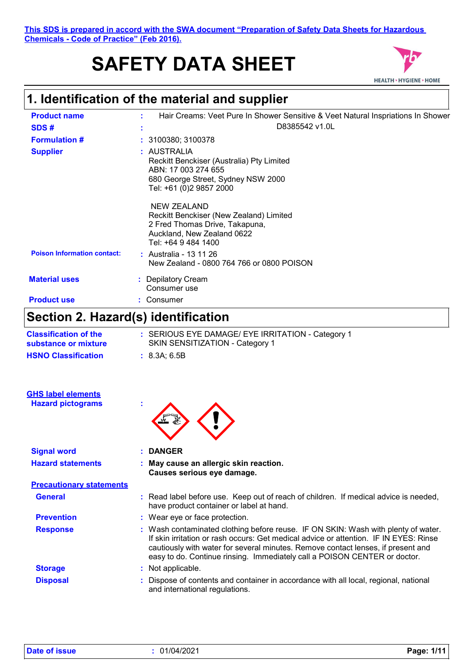This SDS is prepared in accord with the SWA document "Preparation of Safety<br> **1. Identification of the material and supplier**<br> **1. Identification of the material and supplier**<br>
Product name<br> **1. Hair Creams: Veet Pure In S This SDS is prepared in accord with the SWA document "Preparation of Safety Data Sheets for Hazardous Chemicals - Code of Practice" (Feb 2016).**

# **SAFETY DATA SHEET**



| <b>Product name</b>                                   | Hair Creams: Veet Pure In Shower Sensitive & Veet Natural Inspriations In Shower                                                                                                                                                                                                                                                            |  |
|-------------------------------------------------------|---------------------------------------------------------------------------------------------------------------------------------------------------------------------------------------------------------------------------------------------------------------------------------------------------------------------------------------------|--|
| SDS#                                                  | D8385542 v1.0L                                                                                                                                                                                                                                                                                                                              |  |
| <b>Formulation #</b>                                  | : 3100380; 3100378                                                                                                                                                                                                                                                                                                                          |  |
| <b>Supplier</b>                                       | : AUSTRALIA<br>Reckitt Benckiser (Australia) Pty Limited<br>ABN: 17 003 274 655<br>680 George Street, Sydney NSW 2000<br>Tel: +61 (0)2 9857 2000                                                                                                                                                                                            |  |
|                                                       | <b>NEW ZEALAND</b><br>Reckitt Benckiser (New Zealand) Limited<br>2 Fred Thomas Drive, Takapuna,<br>Auckland, New Zealand 0622<br>Tel: +64 9 484 1400                                                                                                                                                                                        |  |
| <b>Poison Information contact:</b>                    | : Australia - 13 11 26<br>New Zealand - 0800 764 766 or 0800 POISON                                                                                                                                                                                                                                                                         |  |
| <b>Material uses</b>                                  | <b>Depilatory Cream</b><br>Consumer use                                                                                                                                                                                                                                                                                                     |  |
| <b>Product use</b>                                    | : Consumer                                                                                                                                                                                                                                                                                                                                  |  |
| Section 2. Hazard(s) identification                   |                                                                                                                                                                                                                                                                                                                                             |  |
| <b>Classification of the</b><br>substance or mixture  | : SERIOUS EYE DAMAGE/ EYE IRRITATION - Category 1<br>SKIN SENSITIZATION - Category 1                                                                                                                                                                                                                                                        |  |
| <b>HSNO Classification</b>                            | : 8.3A; 6.5B                                                                                                                                                                                                                                                                                                                                |  |
| <b>GHS label elements</b><br><b>Hazard pictograms</b> |                                                                                                                                                                                                                                                                                                                                             |  |
| <b>Signal word</b>                                    | <b>DANGER</b>                                                                                                                                                                                                                                                                                                                               |  |
| <b>Hazard statements</b>                              | May cause an allergic skin reaction.<br>Causes serious eye damage.                                                                                                                                                                                                                                                                          |  |
| <b>Precautionary statements</b>                       |                                                                                                                                                                                                                                                                                                                                             |  |
| <b>General</b>                                        | : Read label before use. Keep out of reach of children. If medical advice is needed,<br>have product container or label at hand.                                                                                                                                                                                                            |  |
| <b>Prevention</b>                                     | : Wear eye or face protection.                                                                                                                                                                                                                                                                                                              |  |
| <b>Response</b>                                       | : Wash contaminated clothing before reuse. IF ON SKIN: Wash with plenty of water.<br>If skin irritation or rash occurs: Get medical advice or attention. IF IN EYES: Rinse<br>cautiously with water for several minutes. Remove contact lenses, if present and<br>easy to do. Continue rinsing. Immediately call a POISON CENTER or doctor. |  |
| <b>Storage</b>                                        | : Not applicable.                                                                                                                                                                                                                                                                                                                           |  |
| <b>Disposal</b>                                       | : Dispose of contents and container in accordance with all local, regional, national<br>and international regulations.                                                                                                                                                                                                                      |  |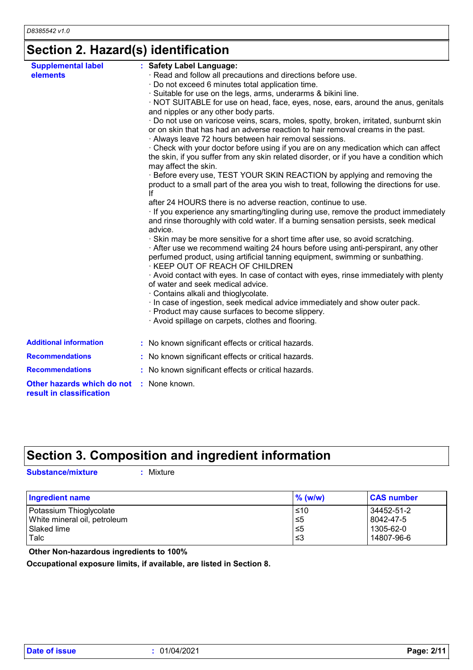### **Section 2. Hazard(s) identification**

| <b>Supplemental label</b>                              | : Safety Label Language:                                                                                                                                                                                |
|--------------------------------------------------------|---------------------------------------------------------------------------------------------------------------------------------------------------------------------------------------------------------|
| elements                                               | · Read and follow all precautions and directions before use.                                                                                                                                            |
|                                                        | · Do not exceed 6 minutes total application time.                                                                                                                                                       |
|                                                        | · Suitable for use on the legs, arms, underarms & bikini line.                                                                                                                                          |
|                                                        | · NOT SUITABLE for use on head, face, eyes, nose, ears, around the anus, genitals<br>and nipples or any other body parts.                                                                               |
|                                                        | · Do not use on varicose veins, scars, moles, spotty, broken, irritated, sunburnt skin                                                                                                                  |
|                                                        | or on skin that has had an adverse reaction to hair removal creams in the past.<br>· Always leave 72 hours between hair removal sessions.                                                               |
|                                                        | . Check with your doctor before using if you are on any medication which can affect<br>the skin, if you suffer from any skin related disorder, or if you have a condition which<br>may affect the skin. |
|                                                        | · Before every use, TEST YOUR SKIN REACTION by applying and removing the<br>product to a small part of the area you wish to treat, following the directions for use.<br>lf                              |
|                                                        | after 24 HOURS there is no adverse reaction, continue to use.                                                                                                                                           |
|                                                        | · If you experience any smarting/tingling during use, remove the product immediately<br>and rinse thoroughly with cold water. If a burning sensation persists, seek medical<br>advice.                  |
|                                                        | · Skin may be more sensitive for a short time after use, so avoid scratching.                                                                                                                           |
|                                                        | After use we recommend waiting 24 hours before using anti-perspirant, any other<br>perfumed product, using artificial tanning equipment, swimming or sunbathing.<br>· KEEP OUT OF REACH OF CHILDREN     |
|                                                        | Avoid contact with eyes. In case of contact with eyes, rinse immediately with plenty<br>of water and seek medical advice.                                                                               |
|                                                        | · Contains alkali and thioglycolate.<br>· In case of ingestion, seek medical advice immediately and show outer pack.                                                                                    |
|                                                        | · Product may cause surfaces to become slippery.                                                                                                                                                        |
|                                                        | · Avoid spillage on carpets, clothes and flooring.                                                                                                                                                      |
| <b>Additional information</b>                          | : No known significant effects or critical hazards.                                                                                                                                                     |
| <b>Recommendations</b>                                 | : No known significant effects or critical hazards.                                                                                                                                                     |
| <b>Recommendations</b>                                 | : No known significant effects or critical hazards.                                                                                                                                                     |
| Other hazards which do not<br>result in classification | : None known.                                                                                                                                                                                           |

### **Section 3. Composition and ingredient information**

**Substance/mixture :**

: Mixture

| <b>Ingredient name</b>       | $\%$ (w/w) | <b>CAS number</b> |
|------------------------------|------------|-------------------|
| Potassium Thioglycolate      | ≤10        | 34452-51-2        |
| White mineral oil, petroleum | ≤5         | 8042-47-5         |
| Slaked lime                  | ≤5         | 1305-62-0         |
| Talc                         | ו≥ ≥       | 14807-96-6        |

 **Other Non-hazardous ingredients to 100%**

**Occupational exposure limits, if available, are listed in Section 8.**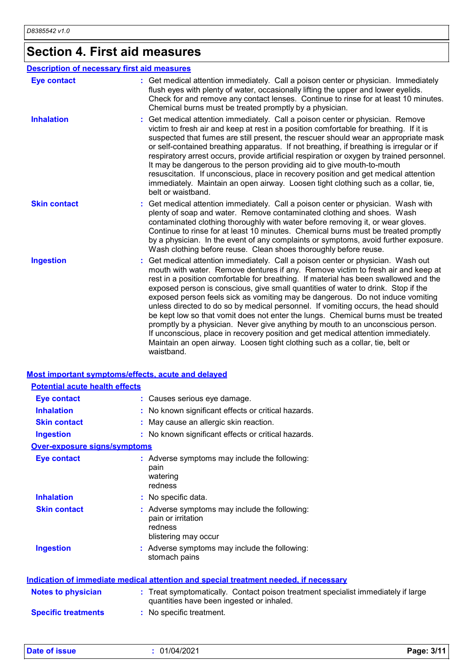# **Section 4. First aid measures**

|                     | <b>Description of necessary first aid measures</b>                                                                                                                                                                                                                                                                                                                                                                                                                                                                                                                                                                                                                                                                                                                                                                                                                                   |
|---------------------|--------------------------------------------------------------------------------------------------------------------------------------------------------------------------------------------------------------------------------------------------------------------------------------------------------------------------------------------------------------------------------------------------------------------------------------------------------------------------------------------------------------------------------------------------------------------------------------------------------------------------------------------------------------------------------------------------------------------------------------------------------------------------------------------------------------------------------------------------------------------------------------|
| <b>Eye contact</b>  | : Get medical attention immediately. Call a poison center or physician. Immediately<br>flush eyes with plenty of water, occasionally lifting the upper and lower eyelids.<br>Check for and remove any contact lenses. Continue to rinse for at least 10 minutes.<br>Chemical burns must be treated promptly by a physician.                                                                                                                                                                                                                                                                                                                                                                                                                                                                                                                                                          |
| <b>Inhalation</b>   | Get medical attention immediately. Call a poison center or physician. Remove<br>victim to fresh air and keep at rest in a position comfortable for breathing. If it is<br>suspected that fumes are still present, the rescuer should wear an appropriate mask<br>or self-contained breathing apparatus. If not breathing, if breathing is irregular or if<br>respiratory arrest occurs, provide artificial respiration or oxygen by trained personnel.<br>It may be dangerous to the person providing aid to give mouth-to-mouth<br>resuscitation. If unconscious, place in recovery position and get medical attention<br>immediately. Maintain an open airway. Loosen tight clothing such as a collar, tie,<br>belt or waistband.                                                                                                                                                  |
| <b>Skin contact</b> | : Get medical attention immediately. Call a poison center or physician. Wash with<br>plenty of soap and water. Remove contaminated clothing and shoes. Wash<br>contaminated clothing thoroughly with water before removing it, or wear gloves.<br>Continue to rinse for at least 10 minutes. Chemical burns must be treated promptly<br>by a physician. In the event of any complaints or symptoms, avoid further exposure.<br>Wash clothing before reuse. Clean shoes thoroughly before reuse.                                                                                                                                                                                                                                                                                                                                                                                      |
| <b>Ingestion</b>    | Get medical attention immediately. Call a poison center or physician. Wash out<br>mouth with water. Remove dentures if any. Remove victim to fresh air and keep at<br>rest in a position comfortable for breathing. If material has been swallowed and the<br>exposed person is conscious, give small quantities of water to drink. Stop if the<br>exposed person feels sick as vomiting may be dangerous. Do not induce vomiting<br>unless directed to do so by medical personnel. If vomiting occurs, the head should<br>be kept low so that vomit does not enter the lungs. Chemical burns must be treated<br>promptly by a physician. Never give anything by mouth to an unconscious person.<br>If unconscious, place in recovery position and get medical attention immediately.<br>Maintain an open airway. Loosen tight clothing such as a collar, tie, belt or<br>waistband. |

#### **Most important symptoms/effects, acute and delayed**

| <b>Potential acute health effects</b> |                                                                                                                                |
|---------------------------------------|--------------------------------------------------------------------------------------------------------------------------------|
| <b>Eye contact</b>                    | : Causes serious eye damage.                                                                                                   |
| <b>Inhalation</b>                     | : No known significant effects or critical hazards.                                                                            |
| <b>Skin contact</b>                   | May cause an allergic skin reaction.                                                                                           |
| <b>Ingestion</b>                      | : No known significant effects or critical hazards.                                                                            |
| Over-exposure signs/symptoms          |                                                                                                                                |
| <b>Eye contact</b>                    | : Adverse symptoms may include the following:<br>pain<br>watering<br>redness                                                   |
| <b>Inhalation</b>                     | : No specific data.                                                                                                            |
| <b>Skin contact</b>                   | : Adverse symptoms may include the following:<br>pain or irritation<br>redness<br>blistering may occur                         |
| <b>Ingestion</b>                      | Adverse symptoms may include the following:<br>stomach pains                                                                   |
|                                       | <b>Indication of immediate medical attention and special treatment needed, if necessary</b>                                    |
| <b>Notes to physician</b>             | : Treat symptomatically. Contact poison treatment specialist immediately if large<br>quantities have been ingested or inhaled. |
| <b>Specific treatments</b>            | : No specific treatment.                                                                                                       |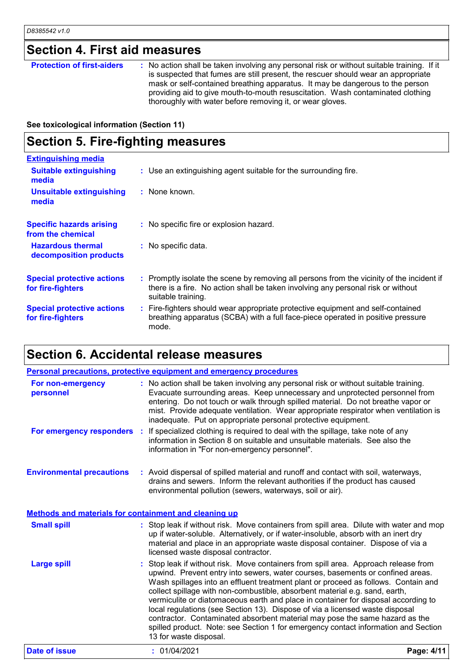## **Section 4. First aid measures**

| mask or self-contained breathing apparatus. It may be dangerous to the person<br>providing aid to give mouth-to-mouth resuscitation. Wash contaminated clothing<br>thoroughly with water before removing it, or wear gloves. | <b>Protection of first-aiders</b> | : No action shall be taken involving any personal risk or without suitable training. If it<br>is suspected that fumes are still present, the rescuer should wear an appropriate |
|------------------------------------------------------------------------------------------------------------------------------------------------------------------------------------------------------------------------------|-----------------------------------|---------------------------------------------------------------------------------------------------------------------------------------------------------------------------------|
|------------------------------------------------------------------------------------------------------------------------------------------------------------------------------------------------------------------------------|-----------------------------------|---------------------------------------------------------------------------------------------------------------------------------------------------------------------------------|

**See toxicological information (Section 11)**

### **Section 5. Fire-fighting measures**

| <b>Extinguishing media</b>                             |                                                                                                                                                                                                     |
|--------------------------------------------------------|-----------------------------------------------------------------------------------------------------------------------------------------------------------------------------------------------------|
| <b>Suitable extinguishing</b><br>media                 | : Use an extinguishing agent suitable for the surrounding fire.                                                                                                                                     |
| <b>Unsuitable extinguishing</b><br>media               | : None known.                                                                                                                                                                                       |
| <b>Specific hazards arising</b><br>from the chemical   | : No specific fire or explosion hazard.                                                                                                                                                             |
| <b>Hazardous thermal</b><br>decomposition products     | : No specific data.                                                                                                                                                                                 |
| <b>Special protective actions</b><br>for fire-fighters | : Promptly isolate the scene by removing all persons from the vicinity of the incident if<br>there is a fire. No action shall be taken involving any personal risk or without<br>suitable training. |
| <b>Special protective actions</b><br>for fire-fighters | : Fire-fighters should wear appropriate protective equipment and self-contained<br>breathing apparatus (SCBA) with a full face-piece operated in positive pressure<br>mode.                         |

### **Section 6. Accidental release measures**

|                                                       | <b>Personal precautions, protective equipment and emergency procedures</b>                                                                                                                                                                                                                                                                                                                                                                                                                                                                                                                                                                                                                                    |            |
|-------------------------------------------------------|---------------------------------------------------------------------------------------------------------------------------------------------------------------------------------------------------------------------------------------------------------------------------------------------------------------------------------------------------------------------------------------------------------------------------------------------------------------------------------------------------------------------------------------------------------------------------------------------------------------------------------------------------------------------------------------------------------------|------------|
| For non-emergency<br>personnel                        | : No action shall be taken involving any personal risk or without suitable training.<br>Evacuate surrounding areas. Keep unnecessary and unprotected personnel from<br>entering. Do not touch or walk through spilled material. Do not breathe vapor or<br>mist. Provide adequate ventilation. Wear appropriate respirator when ventilation is<br>inadequate. Put on appropriate personal protective equipment.                                                                                                                                                                                                                                                                                               |            |
|                                                       | For emergency responders : If specialized clothing is required to deal with the spillage, take note of any<br>information in Section 8 on suitable and unsuitable materials. See also the<br>information in "For non-emergency personnel".                                                                                                                                                                                                                                                                                                                                                                                                                                                                    |            |
| <b>Environmental precautions</b>                      | : Avoid dispersal of spilled material and runoff and contact with soil, waterways,<br>drains and sewers. Inform the relevant authorities if the product has caused<br>environmental pollution (sewers, waterways, soil or air).                                                                                                                                                                                                                                                                                                                                                                                                                                                                               |            |
| Methods and materials for containment and cleaning up |                                                                                                                                                                                                                                                                                                                                                                                                                                                                                                                                                                                                                                                                                                               |            |
| <b>Small spill</b>                                    | : Stop leak if without risk. Move containers from spill area. Dilute with water and mop<br>up if water-soluble. Alternatively, or if water-insoluble, absorb with an inert dry<br>material and place in an appropriate waste disposal container. Dispose of via a<br>licensed waste disposal contractor.                                                                                                                                                                                                                                                                                                                                                                                                      |            |
| <b>Large spill</b>                                    | Stop leak if without risk. Move containers from spill area. Approach release from<br>upwind. Prevent entry into sewers, water courses, basements or confined areas.<br>Wash spillages into an effluent treatment plant or proceed as follows. Contain and<br>collect spillage with non-combustible, absorbent material e.g. sand, earth,<br>vermiculite or diatomaceous earth and place in container for disposal according to<br>local regulations (see Section 13). Dispose of via a licensed waste disposal<br>contractor. Contaminated absorbent material may pose the same hazard as the<br>spilled product. Note: see Section 1 for emergency contact information and Section<br>13 for waste disposal. |            |
| <b>Date of issue</b>                                  | : 01/04/2021                                                                                                                                                                                                                                                                                                                                                                                                                                                                                                                                                                                                                                                                                                  | Page: 4/11 |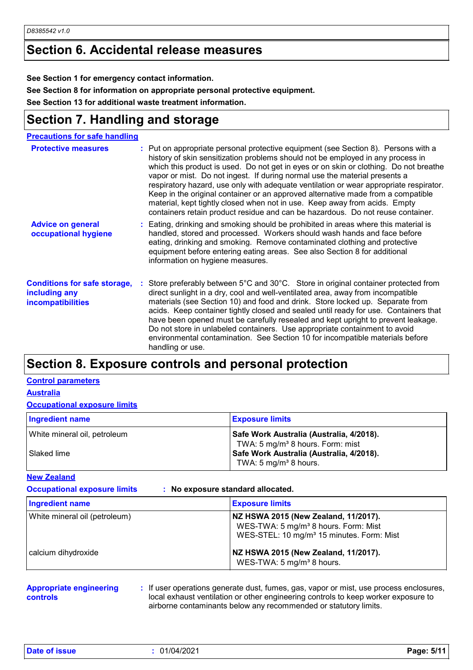### **Section 6. Accidental release measures**

**See Section 1 for emergency contact information.**

**See Section 8 for information on appropriate personal protective equipment.**

**See Section 13 for additional waste treatment information.**

### **Section 7. Handling and storage**

| <b>Precautions for safe handling</b>                                             |                                                                                                                                                                                                                                                                                                                                                                                                                                                                                                                                                                                                                                                                                             |
|----------------------------------------------------------------------------------|---------------------------------------------------------------------------------------------------------------------------------------------------------------------------------------------------------------------------------------------------------------------------------------------------------------------------------------------------------------------------------------------------------------------------------------------------------------------------------------------------------------------------------------------------------------------------------------------------------------------------------------------------------------------------------------------|
| <b>Protective measures</b>                                                       | : Put on appropriate personal protective equipment (see Section 8). Persons with a<br>history of skin sensitization problems should not be employed in any process in<br>which this product is used. Do not get in eyes or on skin or clothing. Do not breathe<br>vapor or mist. Do not ingest. If during normal use the material presents a<br>respiratory hazard, use only with adequate ventilation or wear appropriate respirator.<br>Keep in the original container or an approved alternative made from a compatible<br>material, kept tightly closed when not in use. Keep away from acids. Empty<br>containers retain product residue and can be hazardous. Do not reuse container. |
| <b>Advice on general</b><br>occupational hygiene                                 | : Eating, drinking and smoking should be prohibited in areas where this material is<br>handled, stored and processed. Workers should wash hands and face before<br>eating, drinking and smoking. Remove contaminated clothing and protective<br>equipment before entering eating areas. See also Section 8 for additional<br>information on hygiene measures.                                                                                                                                                                                                                                                                                                                               |
| <b>Conditions for safe storage,</b><br>including any<br><b>incompatibilities</b> | Store preferably between 5°C and 30°C. Store in original container protected from<br>direct sunlight in a dry, cool and well-ventilated area, away from incompatible<br>materials (see Section 10) and food and drink. Store locked up. Separate from<br>acids. Keep container tightly closed and sealed until ready for use. Containers that<br>have been opened must be carefully resealed and kept upright to prevent leakage.<br>Do not store in unlabeled containers. Use appropriate containment to avoid<br>environmental contamination. See Section 10 for incompatible materials before<br>handling or use.                                                                        |

### **Section 8. Exposure controls and personal protection**

#### **Control parameters**

**Australia**

#### **Occupational exposure limits**

| Ingredient name              | <b>Exposure limits</b>                       |
|------------------------------|----------------------------------------------|
| White mineral oil, petroleum | Safe Work Australia (Australia, 4/2018).     |
|                              | TWA: 5 mg/m <sup>3</sup> 8 hours. Form: mist |
| Slaked lime                  | Safe Work Australia (Australia, 4/2018).     |
|                              | TWA: 5 mg/m <sup>3</sup> 8 hours.            |

**New Zealand**

**Occupational exposure limits : No exposure standard allocated.**

| <b>Ingredient name</b>        | <b>Exposure limits</b>                                                                                                                            |
|-------------------------------|---------------------------------------------------------------------------------------------------------------------------------------------------|
| White mineral oil (petroleum) | NZ HSWA 2015 (New Zealand, 11/2017).<br>WES-TWA: 5 mg/m <sup>3</sup> 8 hours. Form: Mist<br>WES-STEL: 10 mg/m <sup>3</sup> 15 minutes. Form: Mist |
| calcium dihydroxide           | NZ HSWA 2015 (New Zealand, 11/2017).<br>WES-TWA: 5 mg/m <sup>3</sup> 8 hours.                                                                     |

#### **Appropriate engineering controls**

**:** If user operations generate dust, fumes, gas, vapor or mist, use process enclosures, local exhaust ventilation or other engineering controls to keep worker exposure to airborne contaminants below any recommended or statutory limits.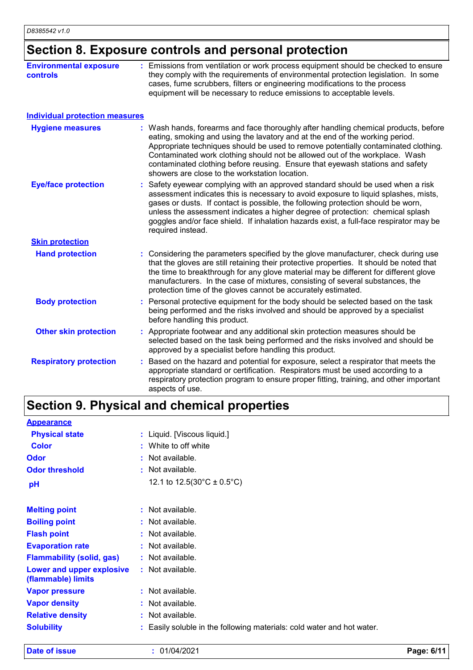### **Section 8. Exposure controls and personal protection**

| <b>Environmental exposure</b><br>controls | : Emissions from ventilation or work process equipment should be checked to ensure<br>they comply with the requirements of environmental protection legislation. In some<br>cases, fume scrubbers, filters or engineering modifications to the process<br>equipment will be necessary to reduce emissions to acceptable levels.                                                                                                                                             |
|-------------------------------------------|-----------------------------------------------------------------------------------------------------------------------------------------------------------------------------------------------------------------------------------------------------------------------------------------------------------------------------------------------------------------------------------------------------------------------------------------------------------------------------|
| <b>Individual protection measures</b>     |                                                                                                                                                                                                                                                                                                                                                                                                                                                                             |
| <b>Hygiene measures</b>                   | : Wash hands, forearms and face thoroughly after handling chemical products, before<br>eating, smoking and using the lavatory and at the end of the working period.<br>Appropriate techniques should be used to remove potentially contaminated clothing.<br>Contaminated work clothing should not be allowed out of the workplace. Wash<br>contaminated clothing before reusing. Ensure that eyewash stations and safety<br>showers are close to the workstation location. |
| <b>Eye/face protection</b>                | Safety eyewear complying with an approved standard should be used when a risk<br>assessment indicates this is necessary to avoid exposure to liquid splashes, mists,<br>gases or dusts. If contact is possible, the following protection should be worn,<br>unless the assessment indicates a higher degree of protection: chemical splash<br>goggles and/or face shield. If inhalation hazards exist, a full-face respirator may be<br>required instead.                   |
| <b>Skin protection</b>                    |                                                                                                                                                                                                                                                                                                                                                                                                                                                                             |
| <b>Hand protection</b>                    | : Considering the parameters specified by the glove manufacturer, check during use<br>that the gloves are still retaining their protective properties. It should be noted that<br>the time to breakthrough for any glove material may be different for different glove<br>manufacturers. In the case of mixtures, consisting of several substances, the<br>protection time of the gloves cannot be accurately estimated.                                                    |
| <b>Body protection</b>                    | : Personal protective equipment for the body should be selected based on the task<br>being performed and the risks involved and should be approved by a specialist<br>before handling this product.                                                                                                                                                                                                                                                                         |
| <b>Other skin protection</b>              | : Appropriate footwear and any additional skin protection measures should be<br>selected based on the task being performed and the risks involved and should be<br>approved by a specialist before handling this product.                                                                                                                                                                                                                                                   |
| <b>Respiratory protection</b>             | : Based on the hazard and potential for exposure, select a respirator that meets the<br>appropriate standard or certification. Respirators must be used according to a<br>respiratory protection program to ensure proper fitting, training, and other important<br>aspects of use.                                                                                                                                                                                         |

## **Section 9. Physical and chemical properties**

| <b>Appearance</b>                               |    |                                                                      |
|-------------------------------------------------|----|----------------------------------------------------------------------|
| <b>Physical state</b>                           |    | : Liquid. [Viscous liquid.]                                          |
| <b>Color</b>                                    |    | : White to off white                                                 |
| <b>Odor</b>                                     |    | : Not available.                                                     |
| <b>Odor threshold</b>                           |    | : Not available.                                                     |
| pH                                              |    | 12.1 to $12.5(30^{\circ}C \pm 0.5^{\circ}C)$                         |
| <b>Melting point</b>                            |    | $:$ Not available.                                                   |
| <b>Boiling point</b>                            |    | : Not available.                                                     |
| <b>Flash point</b>                              |    | : Not available.                                                     |
| <b>Evaporation rate</b>                         |    | : Not available.                                                     |
| <b>Flammability (solid, gas)</b>                |    | : Not available.                                                     |
| Lower and upper explosive<br>(flammable) limits |    | $:$ Not available.                                                   |
| <b>Vapor pressure</b>                           |    | $:$ Not available.                                                   |
| <b>Vapor density</b>                            |    | : Not available.                                                     |
| <b>Relative density</b>                         | ÷. | Not available.                                                       |
| <b>Solubility</b>                               |    | Easily soluble in the following materials: cold water and hot water. |

**Date of issue :** 01/04/2021 **Page: 6/11**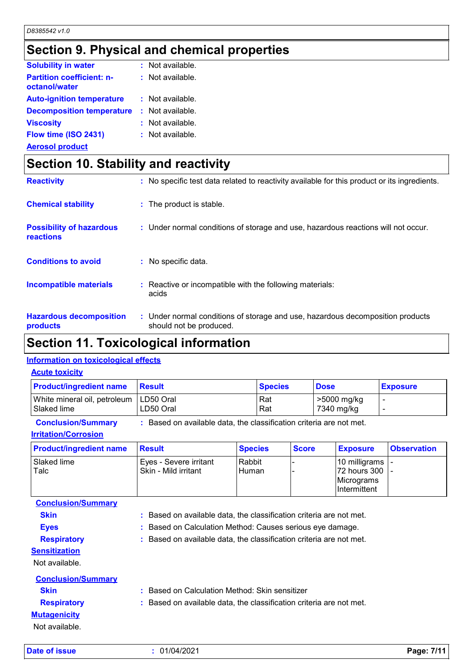### **Section 9. Physical and chemical properties**

| : Not available. |
|------------------|
| : Not available. |
| : Not available. |
| : Not available. |
| : Not available. |
| : Not available. |
|                  |

**Aerosol product**

### **Section 10. Stability and reactivity**

| <b>Reactivity</b>                            | : No specific test data related to reactivity available for this product or its ingredients.              |
|----------------------------------------------|-----------------------------------------------------------------------------------------------------------|
| <b>Chemical stability</b>                    | : The product is stable.                                                                                  |
| <b>Possibility of hazardous</b><br>reactions | : Under normal conditions of storage and use, hazardous reactions will not occur.                         |
| <b>Conditions to avoid</b>                   | : No specific data.                                                                                       |
| <b>Incompatible materials</b>                | : Reactive or incompatible with the following materials:<br>acids                                         |
| <b>Hazardous decomposition</b><br>products   | : Under normal conditions of storage and use, hazardous decomposition products<br>should not be produced. |

### **Section 11. Toxicological information**

### **Information on toxicological effects**

#### **Acute toxicity**

| <b>Product/ingredient name</b>                          | <b>Besult</b> | <b>Species</b> | <b>Dose</b>               | <b>Exposure</b> |
|---------------------------------------------------------|---------------|----------------|---------------------------|-----------------|
| White mineral oil, petroleum   LD50 Oral<br>Slaked lime | LD50 Oral     | Rat<br>Rat     | >5000 mg/kg<br>7340 mg/kg |                 |

**Conclusion/Summary :** Based on available data, the classification criteria are not met.

#### **Irritation/Corrosion**

| <b>Product/ingredient name</b> | Result                                         | <b>Species</b>  | <b>Score</b> | <b>Exposure</b>                                                                          | <b>Observation</b> |
|--------------------------------|------------------------------------------------|-----------------|--------------|------------------------------------------------------------------------------------------|--------------------|
| Slaked lime<br>Talc            | Eyes - Severe irritant<br>Skin - Mild irritant | Rabbit<br>Human |              | 10 milligrams  -<br> 72 hours 300  -<br><i><b>IMicrograms</b></i><br><b>Intermittent</b> |                    |

**Conclusion/Summary**

**Skin :** Based on available data, the classification criteria are not met.

- **Eyes :** Based on Calculation Method: Causes serious eye damage.
- **Respiratory :** Based on available data, the classification criteria are not met.

**Sensitization**

Not available.

| <b>Conclusion/Summary</b> |                                                                     |
|---------------------------|---------------------------------------------------------------------|
| <b>Skin</b>               | : Based on Calculation Method: Skin sensitizer                      |
| <b>Respiratory</b>        | : Based on available data, the classification criteria are not met. |
| <b>Mutagenicity</b>       |                                                                     |
| Not available.            |                                                                     |

**Date of issue :** 01/04/2021 **Page: 7/11**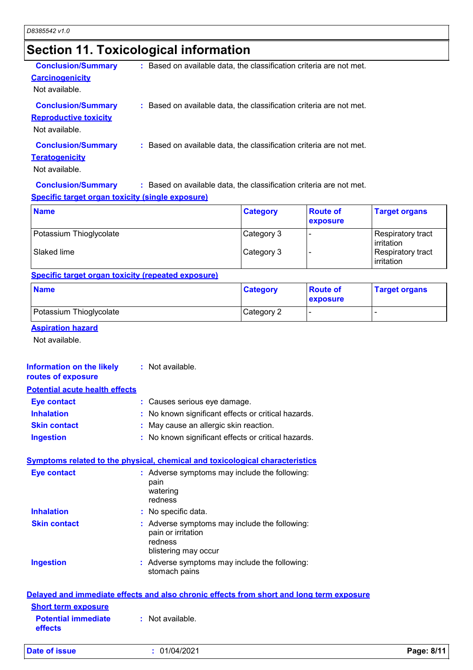### **Section 11. Toxicological information**

| <b>Conclusion/Summary</b>    | : Based on available data, the classification criteria are not met. |
|------------------------------|---------------------------------------------------------------------|
| <b>Carcinogenicity</b>       |                                                                     |
| Not available.               |                                                                     |
| <b>Conclusion/Summary</b>    | : Based on available data, the classification criteria are not met. |
| <b>Reproductive toxicity</b> |                                                                     |
| Not available.               |                                                                     |
| <b>Conclusion/Summary</b>    | : Based on available data, the classification criteria are not met. |
| <b>Teratogenicity</b>        |                                                                     |
| Not available.               |                                                                     |
| <b>Conclusion/Summary</b>    | : Based on available data, the classification criteria are not met. |

### **Specific target organ toxicity (single exposure)**

| <b>Name</b>             | <b>Category</b> | <b>Route of</b><br><b>exposure</b> | <b>Target organs</b>            |
|-------------------------|-----------------|------------------------------------|---------------------------------|
| Potassium Thioglycolate | Category 3      |                                    | Respiratory tract<br>irritation |
| Slaked lime             | Category 3      |                                    | Respiratory tract<br>irritation |

#### **Specific target organ toxicity (repeated exposure)**

| <b>Name</b>             | <b>Category</b> | <b>Route of</b><br><b>exposure</b> | <b>Target organs</b> |
|-------------------------|-----------------|------------------------------------|----------------------|
| Potassium Thioglycolate | Category 2      | . .                                |                      |

#### **Aspiration hazard**

Not available.

#### **Information on the likely :** Not available.

**routes of exposure**

### **Potential acute health effects**

| Eye contact         | : Causes serious eye damage.                        |
|---------------------|-----------------------------------------------------|
| <b>Inhalation</b>   | : No known significant effects or critical hazards. |
| <b>Skin contact</b> | : May cause an allergic skin reaction.              |
| <b>Ingestion</b>    | : No known significant effects or critical hazards. |

#### **Symptoms related to the physical, chemical and toxicological characteristics**

| <b>Eye contact</b>                           | : Adverse symptoms may include the following:<br>pain<br>watering<br>redness                           |  |
|----------------------------------------------|--------------------------------------------------------------------------------------------------------|--|
| <b>Inhalation</b>                            | : No specific data.                                                                                    |  |
| <b>Skin contact</b>                          | : Adverse symptoms may include the following:<br>pain or irritation<br>redness<br>blistering may occur |  |
| <b>Ingestion</b>                             | : Adverse symptoms may include the following:<br>stomach pains                                         |  |
|                                              | Delayed and immediate effects and also chronic effects from short and long term exposure               |  |
| <b>Short term exposure</b>                   |                                                                                                        |  |
| <b>Potential immediate</b><br><b>effects</b> | $:$ Not available.                                                                                     |  |
|                                              |                                                                                                        |  |

**Date of issue :** 01/04/2021 **Page: 8/11**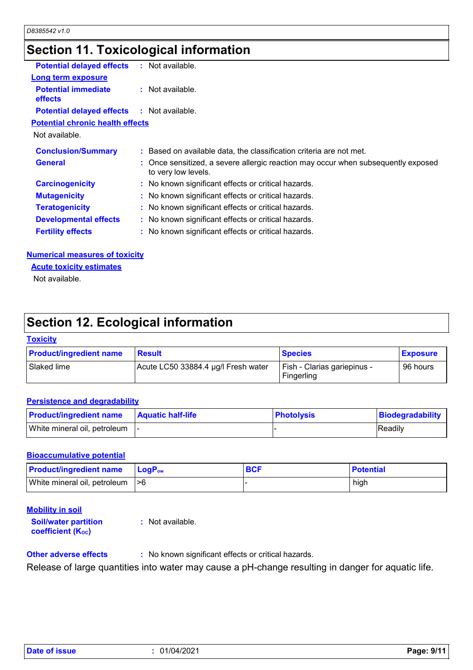### **Section 11. Toxicological information**

| <b>Potential delayed effects</b>                  | ÷. | Not available.                                                                                           |
|---------------------------------------------------|----|----------------------------------------------------------------------------------------------------------|
| <b>Long term exposure</b>                         |    |                                                                                                          |
| <b>Potential immediate</b><br><b>effects</b>      |    | $:$ Not available.                                                                                       |
| <b>Potential delayed effects : Not available.</b> |    |                                                                                                          |
| <b>Potential chronic health effects</b>           |    |                                                                                                          |
| Not available.                                    |    |                                                                                                          |
| <b>Conclusion/Summary</b>                         |    | : Based on available data, the classification criteria are not met.                                      |
| <b>General</b>                                    |    | : Once sensitized, a severe allergic reaction may occur when subsequently exposed<br>to very low levels. |
| <b>Carcinogenicity</b>                            |    | : No known significant effects or critical hazards.                                                      |
| <b>Mutagenicity</b>                               |    | : No known significant effects or critical hazards.                                                      |
| <b>Teratogenicity</b>                             |    | : No known significant effects or critical hazards.                                                      |
| <b>Developmental effects</b>                      |    | : No known significant effects or critical hazards.                                                      |
| <b>Fertility effects</b>                          |    | : No known significant effects or critical hazards.                                                      |
|                                                   |    |                                                                                                          |

#### **Numerical measures of toxicity**

**Acute toxicity estimates**

Not available.

### **Section 12. Ecological information**

#### **Toxicity**

| <b>Product/ingredient name</b> | <b>Result</b>                       | <b>Species</b>                            | <b>Exposure</b> |
|--------------------------------|-------------------------------------|-------------------------------------------|-----------------|
| Slaked lime                    | Acute LC50 33884.4 µg/l Fresh water | Fish - Clarias gariepinus -<br>Fingerling | 96 hours        |

#### **Persistence and degradability**

| <b>Product/ingredient name</b>  | <b>Aquatic half-life</b> | <b>Photolysis</b> | Biodegradability |
|---------------------------------|--------------------------|-------------------|------------------|
| White mineral oil, petroleum  - |                          |                   | Readily          |

#### **Bioaccumulative potential**

| <b>Product/ingredient name</b>   | <b>LogP</b> <sub>ow</sub> | <b>BCF</b> | <b>Potential</b> |
|----------------------------------|---------------------------|------------|------------------|
| White mineral oil, petroleum  >6 |                           |            | high             |

### **Mobility in soil**

**Soil/water partition coefficient (KOC) :** Not available.

**Other adverse effects** : No known significant effects or critical hazards.

Release of large quantities into water may cause a pH-change resulting in danger for aquatic life.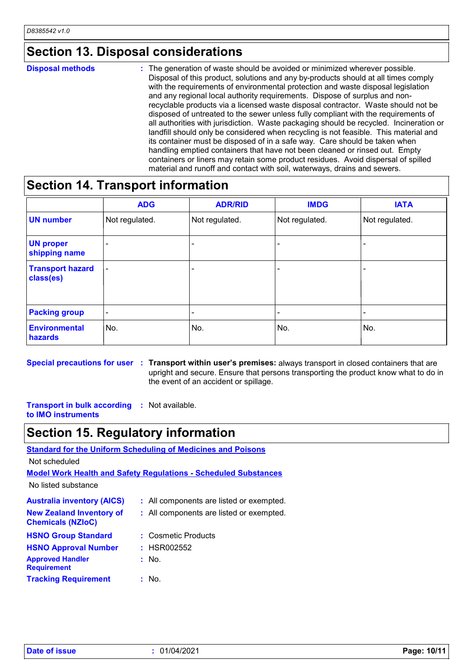### **Section 13. Disposal considerations**

#### The generation of waste should be avoided or minimized wherever possible. Disposal of this product, solutions and any by-products should at all times comply with the requirements of environmental protection and waste disposal legislation and any regional local authority requirements. Dispose of surplus and nonrecyclable products via a licensed waste disposal contractor. Waste should not be disposed of untreated to the sewer unless fully compliant with the requirements of all authorities with jurisdiction. Waste packaging should be recycled. Incineration or landfill should only be considered when recycling is not feasible. This material and its container must be disposed of in a safe way. Care should be taken when handling emptied containers that have not been cleaned or rinsed out. Empty containers or liners may retain some product residues. Avoid dispersal of spilled material and runoff and contact with soil, waterways, drains and sewers. **Disposal methods :**

### **Section 14. Transport information**

|                                      | <b>ADG</b>               | <b>ADR/RID</b>           | <b>IMDG</b>              | <b>IATA</b>              |
|--------------------------------------|--------------------------|--------------------------|--------------------------|--------------------------|
| <b>UN number</b>                     | Not regulated.           | Not regulated.           | Not regulated.           | Not regulated.           |
| <b>UN proper</b><br>shipping name    |                          |                          |                          | $\overline{\phantom{0}}$ |
| <b>Transport hazard</b><br>class(es) | $\overline{\phantom{a}}$ | -                        |                          | $\overline{\phantom{0}}$ |
| <b>Packing group</b>                 | $\overline{\phantom{a}}$ | $\overline{\phantom{0}}$ | $\overline{\phantom{0}}$ |                          |
| <b>Environmental</b><br>hazards      | No.                      | No.                      | No.                      | No.                      |

**Special precautions for user** : Transport within user's premises: always transport in closed containers that are upright and secure. Ensure that persons transporting the product know what to do in the event of an accident or spillage.

**Transport in bulk according :** Not available. **to IMO instruments**

### **Section 15. Regulatory information**

**Standard for the Uniform Scheduling of Medicines and Poisons**

Not scheduled

**Model Work Health and Safety Regulations - Scheduled Substances**

No listed substance

| <b>Australia inventory (AICS)</b>                           | : All components are listed or exempted. |
|-------------------------------------------------------------|------------------------------------------|
| <b>New Zealand Inventory of</b><br><b>Chemicals (NZIoC)</b> | : All components are listed or exempted. |
| <b>HSNO Group Standard</b>                                  | : Cosmetic Products                      |
| <b>HSNO Approval Number</b>                                 | : HSR002552                              |
| <b>Approved Handler</b><br><b>Requirement</b>               | : No.                                    |
| <b>Tracking Requirement</b>                                 | : No.                                    |